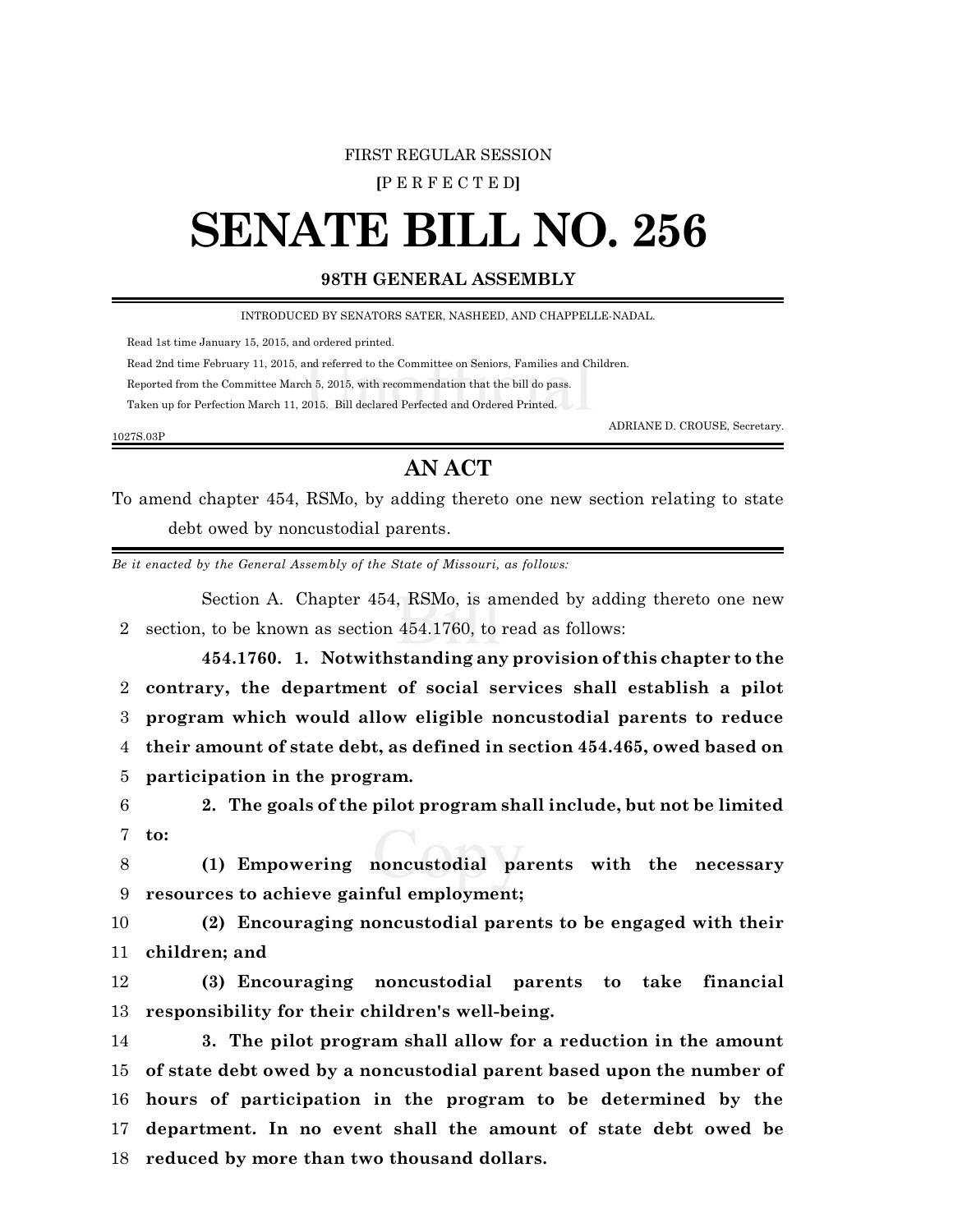## FIRST REGULAR SESSION

**[**P E R F E C T E D**]**

## **SENATE BILL NO. 256**

## **98TH GENERAL ASSEMBLY**

INTRODUCED BY SENATORS SATER, NASHEED, AND CHAPPELLE-NADAL.

Read 1st time January 15, 2015, and ordered printed.

1027S.03P

Read 2nd time February 11, 2015, and referred to the Committee on Seniors, Families and Children.

Reported from the Committee March 5, 2015, with recommendation that the bill do pass.

Taken up for Perfection March 11, 2015. Bill declared Perfected and Ordered Printed.

ADRIANE D. CROUSE, Secretary.

## **AN ACT**

To amend chapter 454, RSMo, by adding thereto one new section relating to state debt owed by noncustodial parents.

*Be it enacted by the General Assembly of the State of Missouri, as follows:*

Section A. Chapter 454, RSMo, is amended by adding thereto one new 2 section, to be known as section 454.1760, to read as follows:

**454.1760. 1. Notwithstanding any provision of this chapter to the contrary, the department of social services shall establish a pilot program which would allow eligible noncustodial parents to reduce their amount of state debt, as defined in section 454.465, owed based on participation in the program.**

6 **2. The goals of the pilot program shall include, but not be limited** 7 **to:**

8 **(1) Empowering noncustodial parents with the necessary** 9 **resources to achieve gainful employment;**

10 **(2) Encouraging noncustodial parents to be engaged with their** 11 **children; and**

12 **(3) Encouraging noncustodial parents to take financial** 13 **responsibility for their children's well-being.**

 **3. The pilot program shall allow for a reduction in the amount of state debt owed by a noncustodial parent based upon the number of hours of participation in the program to be determined by the department. In no event shall the amount of state debt owed be reduced by more than two thousand dollars.**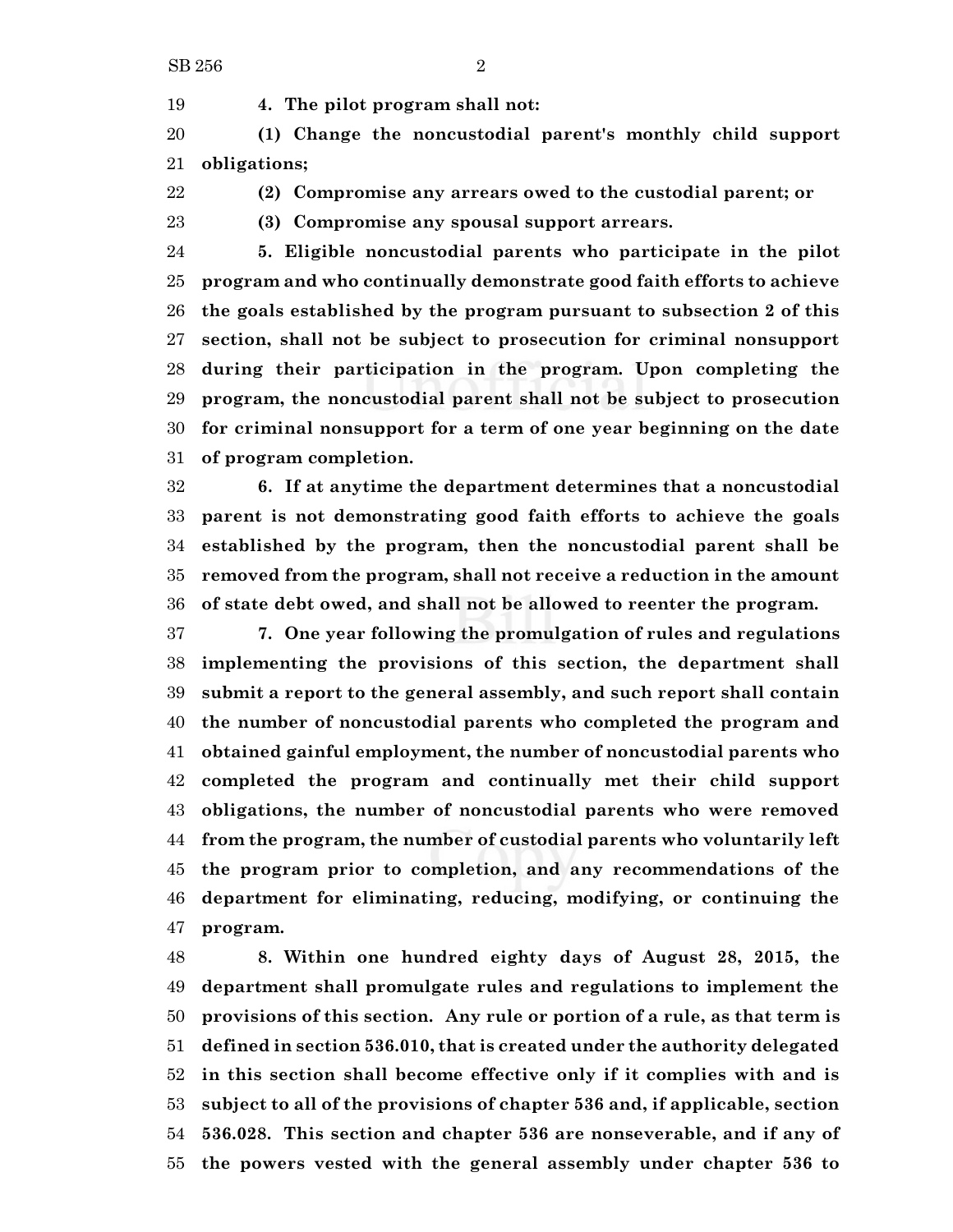**4. The pilot program shall not:**

 **(1) Change the noncustodial parent's monthly child support obligations;**

**(2) Compromise any arrears owed to the custodial parent; or**

**(3) Compromise any spousal support arrears.**

 **5. Eligible noncustodial parents who participate in the pilot program and who continually demonstrate good faith efforts to achieve the goals established by the program pursuant to subsection 2 of this section, shall not be subject to prosecution for criminal nonsupport during their participation in the program. Upon completing the program, the noncustodial parent shall not be subject to prosecution for criminal nonsupport for a term of one year beginning on the date of program completion.**

 **6. If at anytime the department determines that a noncustodial parent is not demonstrating good faith efforts to achieve the goals established by the program, then the noncustodial parent shall be removed from the program, shall not receive a reduction in the amount of state debt owed, and shall not be allowed to reenter the program.**

 **7. One year following the promulgation of rules and regulations implementing the provisions of this section, the department shall submit a report to the general assembly, and such report shall contain the number of noncustodial parents who completed the program and obtained gainful employment, the number of noncustodial parents who completed the program and continually met their child support obligations, the number of noncustodial parents who were removed from the program, the number of custodial parents who voluntarily left the program prior to completion, and any recommendations of the department for eliminating, reducing, modifying, or continuing the program.**

 **8. Within one hundred eighty days of August 28, 2015, the department shall promulgate rules and regulations to implement the provisions of this section. Any rule or portion of a rule, as that term is defined in section 536.010, that is created under the authority delegated in this section shall become effective only if it complies with and is subject to all of the provisions of chapter 536 and, if applicable, section 536.028. This section and chapter 536 are nonseverable, and if any of the powers vested with the general assembly under chapter 536 to**